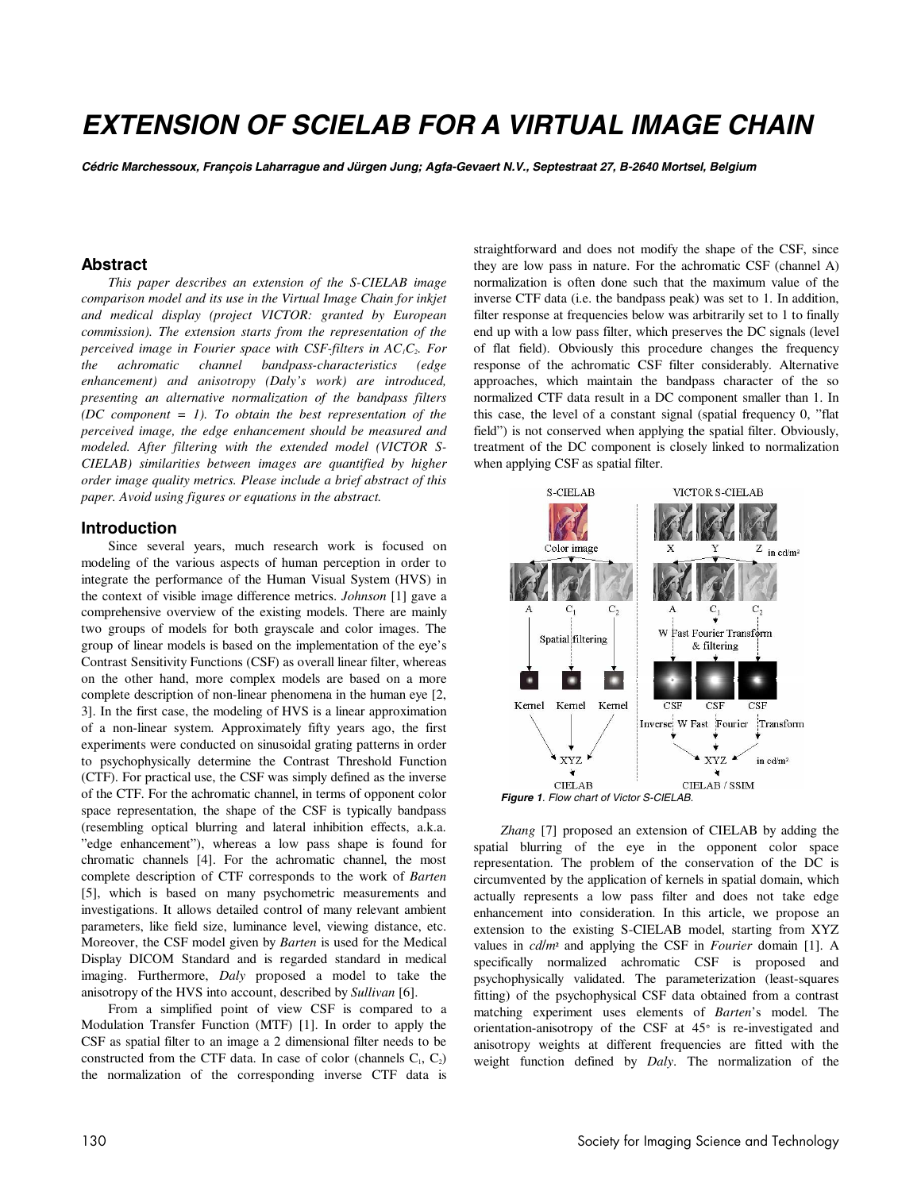# **EXTENSION OF SCIELAB FOR A VIRTUAL IMAGE CHAIN**

**Cédric Marchessoux, François Laharrague and Jürgen Jung; Agfa-Gevaert N.V., Septestraat 27, B-2640 Mortsel, Belgium** 

## **Abstract**

*This paper describes an extension of the S-CIELAB image comparison model and its use in the Virtual Image Chain for inkjet and medical display (project VICTOR: granted by European commission). The extension starts from the representation of the perceived image in Fourier space with CSF-filters in AC<sub>1</sub>C<sub>2</sub>. For the achromatic channel bandpass-characteristics (edge enhancement) and anisotropy (Daly's work) are introduced, presenting an alternative normalization of the bandpass filters (DC component = 1). To obtain the best representation of the perceived image, the edge enhancement should be measured and modeled. After filtering with the extended model (VICTOR S-CIELAB) similarities between images are quantified by higher order image quality metrics. Please include a brief abstract of this paper. Avoid using figures or equations in the abstract.* 

#### **Introduction**

Since several years, much research work is focused on modeling of the various aspects of human perception in order to integrate the performance of the Human Visual System (HVS) in the context of visible image difference metrics. *Johnson* [1] gave a comprehensive overview of the existing models. There are mainly two groups of models for both grayscale and color images. The group of linear models is based on the implementation of the eye's Contrast Sensitivity Functions (CSF) as overall linear filter, whereas on the other hand, more complex models are based on a more complete description of non-linear phenomena in the human eye [2, 3]. In the first case, the modeling of HVS is a linear approximation of a non-linear system. Approximately fifty years ago, the first experiments were conducted on sinusoidal grating patterns in order to psychophysically determine the Contrast Threshold Function (CTF). For practical use, the CSF was simply defined as the inverse of the CTF. For the achromatic channel, in terms of opponent color space representation, the shape of the CSF is typically bandpass (resembling optical blurring and lateral inhibition effects, a.k.a. "edge enhancement"), whereas a low pass shape is found for chromatic channels [4]. For the achromatic channel, the most complete description of CTF corresponds to the work of *Barten*  [5], which is based on many psychometric measurements and investigations. It allows detailed control of many relevant ambient parameters, like field size, luminance level, viewing distance, etc. Moreover, the CSF model given by *Barten* is used for the Medical Display DICOM Standard and is regarded standard in medical imaging. Furthermore, *Daly* proposed a model to take the anisotropy of the HVS into account, described by *Sullivan* [6].

From a simplified point of view CSF is compared to a Modulation Transfer Function (MTF) [1]. In order to apply the CSF as spatial filter to an image a 2 dimensional filter needs to be constructed from the CTF data. In case of color (channels  $C_1$ ,  $C_2$ ) the normalization of the corresponding inverse CTF data is straightforward and does not modify the shape of the CSF, since they are low pass in nature. For the achromatic CSF (channel A) normalization is often done such that the maximum value of the inverse CTF data (i.e. the bandpass peak) was set to 1. In addition, filter response at frequencies below was arbitrarily set to 1 to finally end up with a low pass filter, which preserves the DC signals (level of flat field). Obviously this procedure changes the frequency response of the achromatic CSF filter considerably. Alternative approaches, which maintain the bandpass character of the so normalized CTF data result in a DC component smaller than 1. In this case, the level of a constant signal (spatial frequency 0, "flat field") is not conserved when applying the spatial filter. Obviously, treatment of the DC component is closely linked to normalization when applying CSF as spatial filter.





*Zhang* [7] proposed an extension of CIELAB by adding the spatial blurring of the eye in the opponent color space representation. The problem of the conservation of the DC is circumvented by the application of kernels in spatial domain, which actually represents a low pass filter and does not take edge enhancement into consideration. In this article, we propose an extension to the existing S-CIELAB model, starting from XYZ values in *cd*/*m*² and applying the CSF in *Fourier* domain [1]. A specifically normalized achromatic CSF is proposed and psychophysically validated. The parameterization (least-squares fitting) of the psychophysical CSF data obtained from a contrast matching experiment uses elements of *Barten*'s model. The orientation-anisotropy of the CSF at 45° is re-investigated and anisotropy weights at different frequencies are fitted with the weight function defined by *Daly*. The normalization of the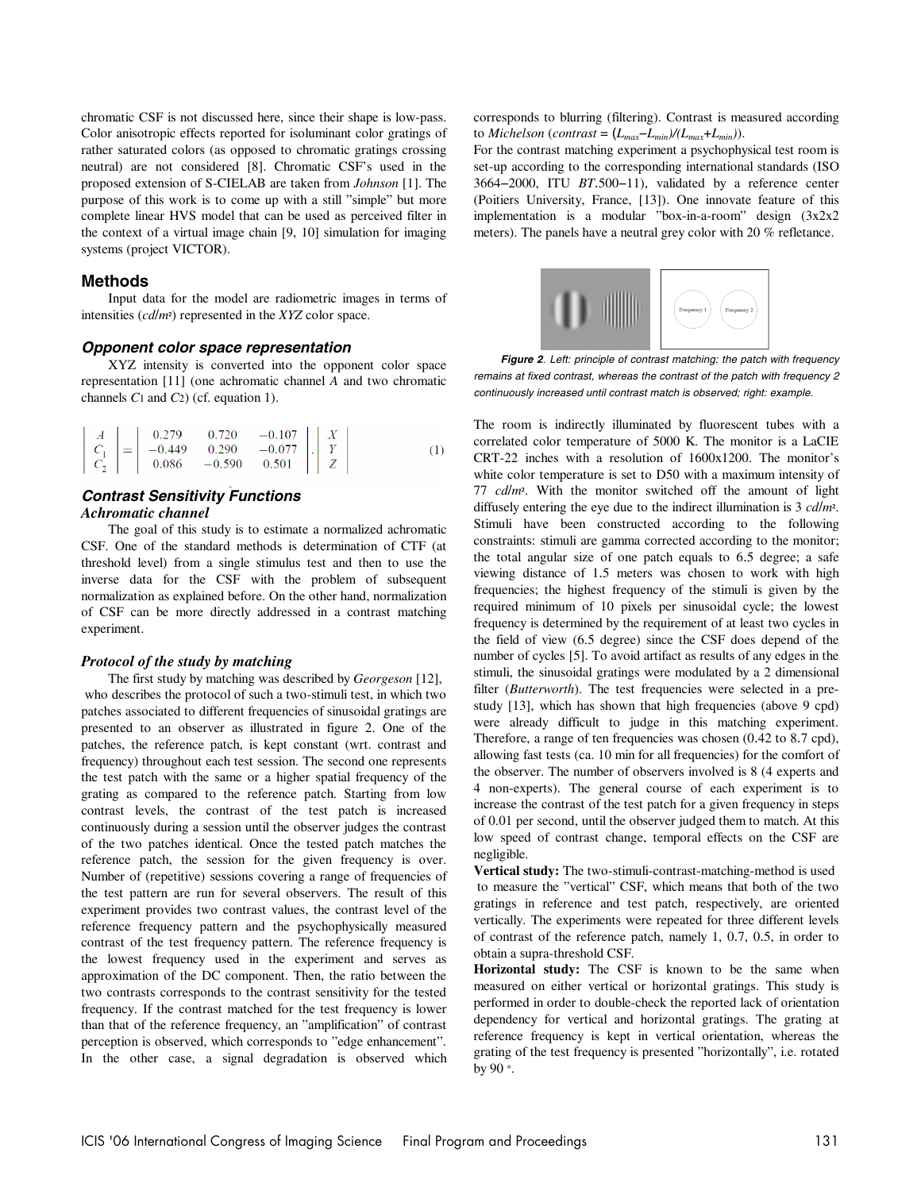chromatic CSF is not discussed here, since their shape is low-pass. Color anisotropic effects reported for isoluminant color gratings of rather saturated colors (as opposed to chromatic gratings crossing neutral) are not considered [8]. Chromatic CSF's used in the proposed extension of S-CIELAB are taken from *Johnson* [1]. The purpose of this work is to come up with a still "simple" but more complete linear HVS model that can be used as perceived filter in the context of a virtual image chain [9, 10] simulation for imaging systems (project VICTOR).

#### **Methods**

Input data for the model are radiometric images in terms of intensities (*cd*/*m*²) represented in the *XYZ* color space.

#### **Opponent color space representation**

XYZ intensity is converted into the opponent color space representation [11] (one achromatic channel *A* and two chromatic channels *C*1 and *C*2) (cf. equation 1).

$$
\begin{vmatrix} A \\ C_1 \\ C_2 \end{vmatrix} = \begin{vmatrix} 0.279 & 0.720 & -0.107 \\ -0.449 & 0.290 & -0.077 \\ 0.086 & -0.590 & 0.501 \end{vmatrix} \cdot \begin{vmatrix} X \\ Y \\ Z \end{vmatrix}
$$
 (1)

## **Contrast Sensitivity Functions**  *Achromatic channel*

The goal of this study is to estimate a normalized achromatic CSF. One of the standard methods is determination of CTF (at threshold level) from a single stimulus test and then to use the inverse data for the CSF with the problem of subsequent normalization as explained before. On the other hand, normalization of CSF can be more directly addressed in a contrast matching experiment.

#### *Protocol of the study by matching*

The first study by matching was described by *Georgeson* [12], who describes the protocol of such a two-stimuli test, in which two patches associated to different frequencies of sinusoidal gratings are presented to an observer as illustrated in figure 2. One of the patches, the reference patch, is kept constant (wrt. contrast and frequency) throughout each test session. The second one represents the test patch with the same or a higher spatial frequency of the grating as compared to the reference patch. Starting from low contrast levels, the contrast of the test patch is increased continuously during a session until the observer judges the contrast of the two patches identical. Once the tested patch matches the reference patch, the session for the given frequency is over. Number of (repetitive) sessions covering a range of frequencies of the test pattern are run for several observers. The result of this experiment provides two contrast values, the contrast level of the reference frequency pattern and the psychophysically measured contrast of the test frequency pattern. The reference frequency is the lowest frequency used in the experiment and serves as approximation of the DC component. Then, the ratio between the two contrasts corresponds to the contrast sensitivity for the tested frequency. If the contrast matched for the test frequency is lower than that of the reference frequency, an "amplification" of contrast perception is observed, which corresponds to "edge enhancement". In the other case, a signal degradation is observed which

corresponds to blurring (filtering). Contrast is measured according to *Michelson* (*contrast* =  $(L_{max}-L_{min})/(L_{max}+L_{min})$ ).

For the contrast matching experiment a psychophysical test room is set-up according to the corresponding international standards (ISO 3664−2000, ITU *BT*.500−11), validated by a reference center (Poitiers University, France, [13]). One innovate feature of this implementation is a modular "box-in-a-room" design (3x2x2 meters). The panels have a neutral grey color with 20 % refletance.



**Figure 2**. Left: principle of contrast matching: the patch with frequency remains at fixed contrast, whereas the contrast of the patch with frequency 2 continuously increased until contrast match is observed; right: example.

The room is indirectly illuminated by fluorescent tubes with a correlated color temperature of 5000 K. The monitor is a LaCIE CRT-22 inches with a resolution of 1600x1200. The monitor's white color temperature is set to D50 with a maximum intensity of 77 *cd*/*m*². With the monitor switched off the amount of light diffusely entering the eye due to the indirect illumination is 3 *cd*/*m*². Stimuli have been constructed according to the following constraints: stimuli are gamma corrected according to the monitor; the total angular size of one patch equals to 6.5 degree; a safe viewing distance of 1.5 meters was chosen to work with high frequencies; the highest frequency of the stimuli is given by the required minimum of 10 pixels per sinusoidal cycle; the lowest frequency is determined by the requirement of at least two cycles in the field of view (6.5 degree) since the CSF does depend of the number of cycles [5]. To avoid artifact as results of any edges in the stimuli, the sinusoidal gratings were modulated by a 2 dimensional filter (*Butterworth*). The test frequencies were selected in a prestudy [13], which has shown that high frequencies (above 9 cpd) were already difficult to judge in this matching experiment. Therefore, a range of ten frequencies was chosen (0.42 to 8.7 cpd), allowing fast tests (ca. 10 min for all frequencies) for the comfort of the observer. The number of observers involved is 8 (4 experts and 4 non-experts). The general course of each experiment is to increase the contrast of the test patch for a given frequency in steps of 0.01 per second, until the observer judged them to match. At this low speed of contrast change, temporal effects on the CSF are negligible.

**Vertical study:** The two-stimuli-contrast-matching-method is used to measure the "vertical" CSF, which means that both of the two gratings in reference and test patch, respectively, are oriented vertically. The experiments were repeated for three different levels of contrast of the reference patch, namely 1, 0.7, 0.5, in order to obtain a supra-threshold CSF.

**Horizontal study:** The CSF is known to be the same when measured on either vertical or horizontal gratings. This study is performed in order to double-check the reported lack of orientation dependency for vertical and horizontal gratings. The grating at reference frequency is kept in vertical orientation, whereas the grating of the test frequency is presented "horizontally", i.e. rotated by 90 °.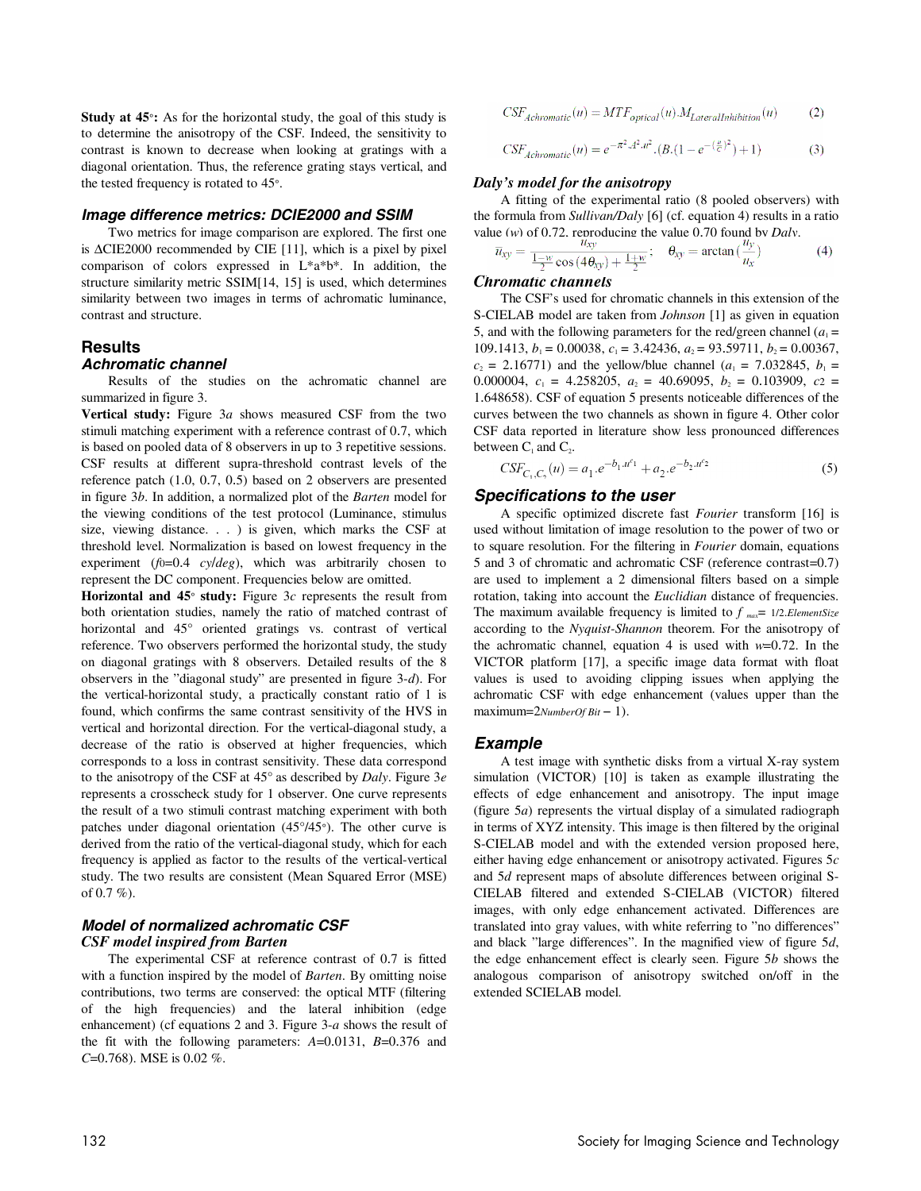**Study at 45**°**:** As for the horizontal study, the goal of this study is to determine the anisotropy of the CSF. Indeed, the sensitivity to contrast is known to decrease when looking at gratings with a diagonal orientation. Thus, the reference grating stays vertical, and the tested frequency is rotated to 45°.

#### **Image difference metrics: DCIE2000 and SSIM**

Two metrics for image comparison are explored. The first one is ∆CIE2000 recommended by CIE [11], which is a pixel by pixel comparison of colors expressed in L\*a\*b\*. In addition, the structure similarity metric SSIM[14, 15] is used, which determines similarity between two images in terms of achromatic luminance, contrast and structure.

# **Results**

#### **Achromatic channel**

Results of the studies on the achromatic channel are summarized in figure 3.

**Vertical study:** Figure 3*a* shows measured CSF from the two stimuli matching experiment with a reference contrast of 0.7, which is based on pooled data of 8 observers in up to 3 repetitive sessions. CSF results at different supra-threshold contrast levels of the reference patch (1.0, 0.7, 0.5) based on 2 observers are presented in figure 3*b*. In addition, a normalized plot of the *Barten* model for the viewing conditions of the test protocol (Luminance, stimulus size, viewing distance. . . ) is given, which marks the CSF at threshold level. Normalization is based on lowest frequency in the experiment (*f*0=0.4 *cy*/*deg*), which was arbitrarily chosen to represent the DC component. Frequencies below are omitted.

**Horizontal and 45**° **study:** Figure 3*c* represents the result from both orientation studies, namely the ratio of matched contrast of horizontal and 45° oriented gratings vs. contrast of vertical reference. Two observers performed the horizontal study, the study on diagonal gratings with 8 observers. Detailed results of the 8 observers in the "diagonal study" are presented in figure 3-*d*). For the vertical-horizontal study, a practically constant ratio of 1 is found, which confirms the same contrast sensitivity of the HVS in vertical and horizontal direction. For the vertical-diagonal study, a decrease of the ratio is observed at higher frequencies, which corresponds to a loss in contrast sensitivity. These data correspond to the anisotropy of the CSF at 45° as described by *Daly*. Figure 3*e*  represents a crosscheck study for 1 observer. One curve represents the result of a two stimuli contrast matching experiment with both patches under diagonal orientation (45°/45°). The other curve is derived from the ratio of the vertical-diagonal study, which for each frequency is applied as factor to the results of the vertical-vertical study. The two results are consistent (Mean Squared Error (MSE) of  $0.7 \%$ ).

## **Model of normalized achromatic CSF**  *CSF model inspired from Barten*

The experimental CSF at reference contrast of 0.7 is fitted with a function inspired by the model of *Barten*. By omitting noise contributions, two terms are conserved: the optical MTF (filtering of the high frequencies) and the lateral inhibition (edge enhancement) (cf equations 2 and 3. Figure 3-*a* shows the result of the fit with the following parameters: *A*=0.0131, *B*=0.376 and *C*=0.768). MSE is 0.02 %.

$$
CSF_{Achromatic}(u) = MTF_{optical}(u) . M_{LateralInhibition}(u)
$$
 (2)

$$
CSF_{Achromatic}(u) = e^{-\pi^2 \cdot A^2 \cdot u^2} \cdot (B \cdot (1 - e^{-\left(\frac{u}{C}\right)^2}) + 1)
$$
 (3)

#### *Daly's model for the anisotropy*

A fitting of the experimental ratio (8 pooled observers) with the formula from *Sullivan/Daly* [6] (cf. equation 4) results in a ratio value (*w*) of 0.72, reproducing the value 0.70 found by *Daly*.

$$
\overline{u}_{xy} = \frac{u_{xy}}{\frac{1-w}{2}\cos(4\theta_{xy}) + \frac{1+w}{2}}; \quad \theta_{xy} = \arctan(\frac{dy}{u_x})
$$
(4)

#### *Chromatic channels*

The CSF's used for chromatic channels in this extension of the S-CIELAB model are taken from *Johnson* [1] as given in equation 5, and with the following parameters for the red/green channel  $(a_1 =$ 109.1413, *b*<sub>1</sub> = 0.00038, *c*<sub>1</sub> = 3.42436, *a*<sub>2</sub> = 93.59711, *b*<sub>2</sub> = 0.00367,  $c_2 = 2.16771$ ) and the yellow/blue channel ( $a_1 = 7.032845$ ,  $b_1 =$ 0.000004,  $c_1 = 4.258205$ ,  $a_2 = 40.69095$ ,  $b_2 = 0.103909$ ,  $c_2 =$ 1.648658). CSF of equation 5 presents noticeable differences of the curves between the two channels as shown in figure 4. Other color CSF data reported in literature show less pronounced differences between  $C_1$  and  $C_2$ .

$$
CSF_{C_1,C_2}(u) = a_1 \cdot e^{-b_1 \cdot u^{c_1}} + a_2 \cdot e^{-b_2 \cdot u^{c_2}}
$$
\n<sup>(5)</sup>

#### **Specifications to the user**

A specific optimized discrete fast *Fourier* transform [16] is used without limitation of image resolution to the power of two or to square resolution. For the filtering in *Fourier* domain, equations 5 and 3 of chromatic and achromatic CSF (reference contrast=0.7) are used to implement a 2 dimensional filters based on a simple rotation, taking into account the *Euclidian* distance of frequencies. The maximum available frequency is limited to  $f_{max} = 1/2$ .*ElementSize* according to the *Nyquist-Shannon* theorem. For the anisotropy of the achromatic channel, equation 4 is used with *w*=0.72. In the VICTOR platform [17], a specific image data format with float values is used to avoiding clipping issues when applying the achromatic CSF with edge enhancement (values upper than the maximum=2*NumberOf Bit* − 1).

#### **Example**

A test image with synthetic disks from a virtual X-ray system simulation (VICTOR) [10] is taken as example illustrating the effects of edge enhancement and anisotropy. The input image (figure 5*a*) represents the virtual display of a simulated radiograph in terms of XYZ intensity. This image is then filtered by the original S-CIELAB model and with the extended version proposed here, either having edge enhancement or anisotropy activated. Figures 5*c*  and 5*d* represent maps of absolute differences between original S-CIELAB filtered and extended S-CIELAB (VICTOR) filtered images, with only edge enhancement activated. Differences are translated into gray values, with white referring to "no differences" and black "large differences". In the magnified view of figure 5*d*, the edge enhancement effect is clearly seen. Figure 5*b* shows the analogous comparison of anisotropy switched on/off in the extended SCIELAB model.